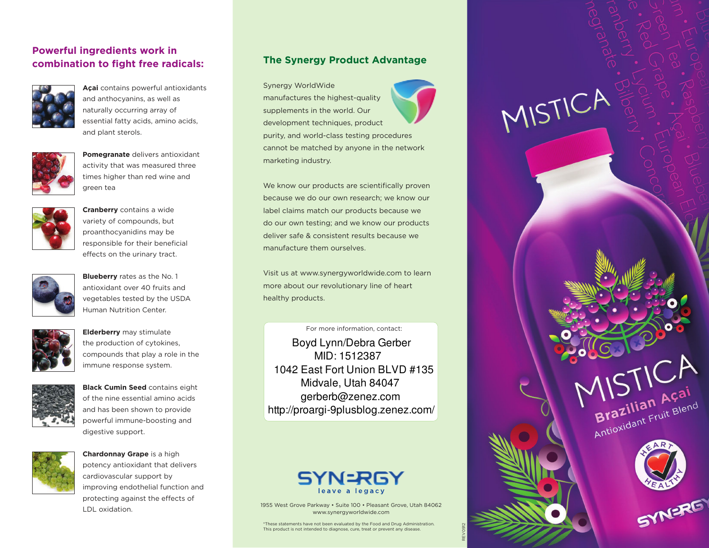### **Powerful ingredients work in combination to fight free radicals:**



**Açai** contains powerful antioxidants and anthocyanins, as well as naturally occurring array of essential fatty acids, amino acids, and plant sterols.



**Pomegranate** delivers antioxidant activity that was measured three times higher than red wine and green tea



**Cranberry** contains a wide variety of compounds, but proanthocyanidins may be responsible for their beneficial effects on the urinary tract.



**Blueberry** rates as the No. 1 antioxidant over 40 fruits and vegetables tested by the USDA Human Nutrition Center.



**Elderberry** may stimulate the production of cytokines, compounds that play a role in the immune response system.



**Black Cumin Seed** contains eight of the nine essential amino acids and has been shown to provide powerful immune-boosting and digestive support.



**Chardonnay Grape** is a high potency antioxidant that delivers cardiovascular support by improving endothelial function and protecting against the effects of LDL oxidation.

#### **The Synergy Product Advantage**

Synergy WorldWide manufactures the highest-quality supplements in the world. Our development techniques, product purity, and world-class testing procedures cannot be matched by anyone in the network marketing industry.

We know our products are scientifically proven because we do our own research; we know our label claims match our products because we do our own testing; and we know our products deliver safe & consistent results because we manufacture them ourselves.

Visit us at www.synergyworldwide.com to learn more about our revolutionary line of heart healthy products.

For more information, contact:

Boyd Lynn/Debra Gerber MID: 1512387 1042 East Fort Union BLVD #135 Midvale, Utah 84047 gerberb@zenez.com http://proargi-9plusblog.zenez.com/



1955 West Grove Parkway • Suite 100 • Pleasant Grove, Utah 84062 www.synergyworldwide.com

REV091

\*These statements have not been evaluated by the Food and Drug Administration. This product is not intended to diagnose, cure, treat or prevent any disease.